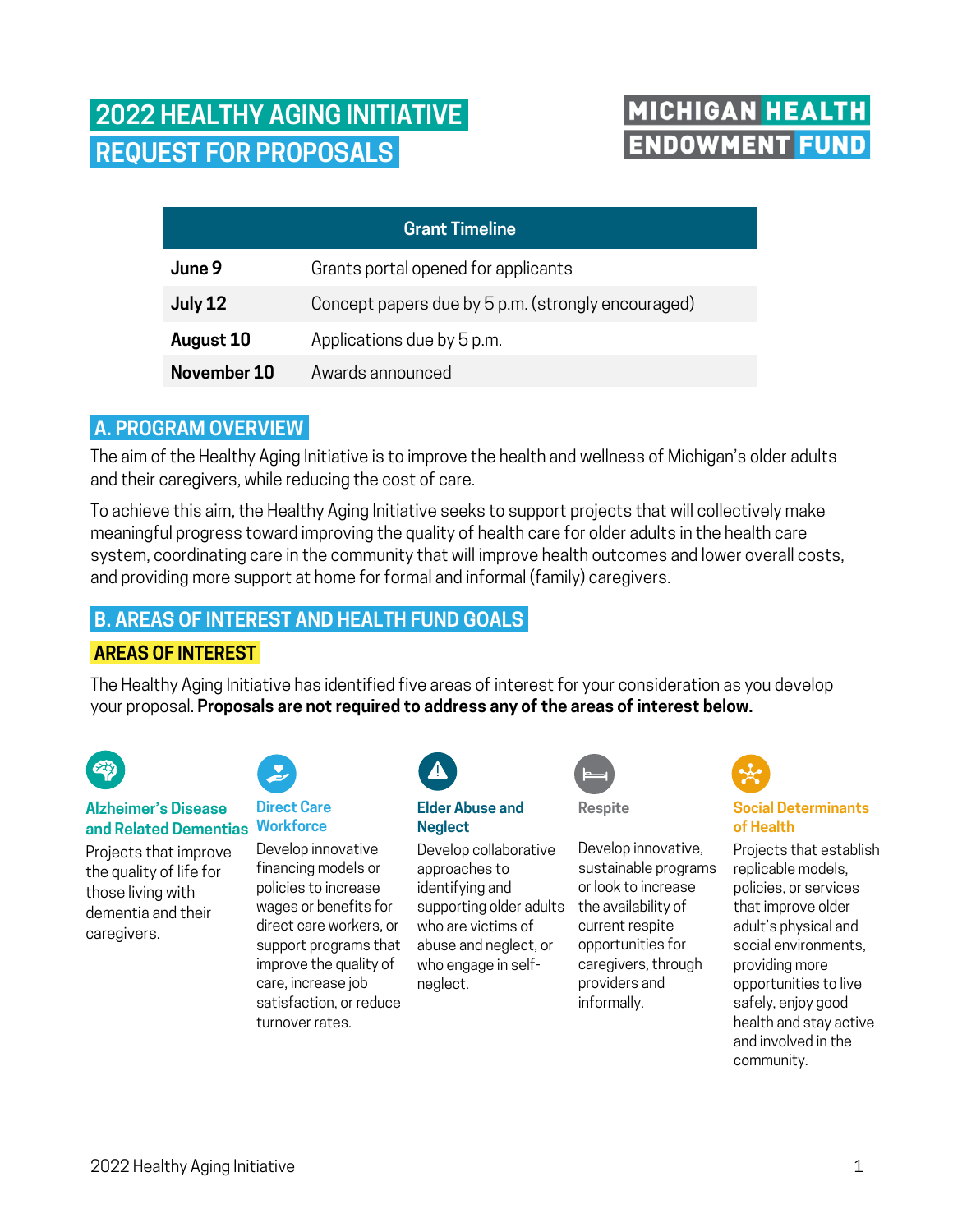# **2022 HEALTHY AGING INITIATIVE. REQUEST FOR PROPOSALS.**

## MICHIGAN HEALTH **ENDOWMENT FUND**

| <b>Grant Timeline</b> |                                                    |
|-----------------------|----------------------------------------------------|
| June 9                | Grants portal opened for applicants                |
| July 12               | Concept papers due by 5 p.m. (strongly encouraged) |
| August 10             | Applications due by 5 p.m.                         |
| November 10           | Awards announced                                   |

## **A. PROGRAM OVERVIEW.**

The aim of the Healthy Aging Initiative is to improve the health and wellness of Michigan's older adults and their caregivers, while reducing the cost of care.

To achieve this aim, the Healthy Aging Initiative seeks to support projects that will collectively make meaningful progress toward improving the quality of health care for older adults in the health care system, coordinating care in the community that will improve health outcomes and lower overall costs, and providing more support at home for formal and informal (family) caregivers.

## **B. AREAS OF INTEREST AND HEALTH FUND GOALS.**

## **AREAS OF INTEREST.**

The Healthy Aging Initiative has identified five areas of interest for your consideration as you develop your proposal. **Proposals are not required to address any of the areas of interest below.**



#### **Alzheimer's Disease and Related Dementias**

Projects that improve the quality of life for those living with dementia and their caregivers.



#### **Direct Care Workforce**

Develop innovative financing models or policies to increase wages or benefits for direct care workers, or support programs that improve the quality of care, increase job satisfaction, or reduce turnover rates.



## z **Elder Abuse and**  z **Neglect**

Develop collaborative z approaches to identifying and z supporting older adults who are victims or<br>abuse and neglect, or z who engage in selfneglect. who are victims of



**Respite**

Develop innovative, sustainable programs or look to increase the availability of current respite opportunities for caregivers, through providers and informally.



## **Social Determinants of Health**

Projects that establish replicable models, policies, or services that improve older adult's physical and social environments, providing more opportunities to live safely, enjoy good health and stay active and involved in the community.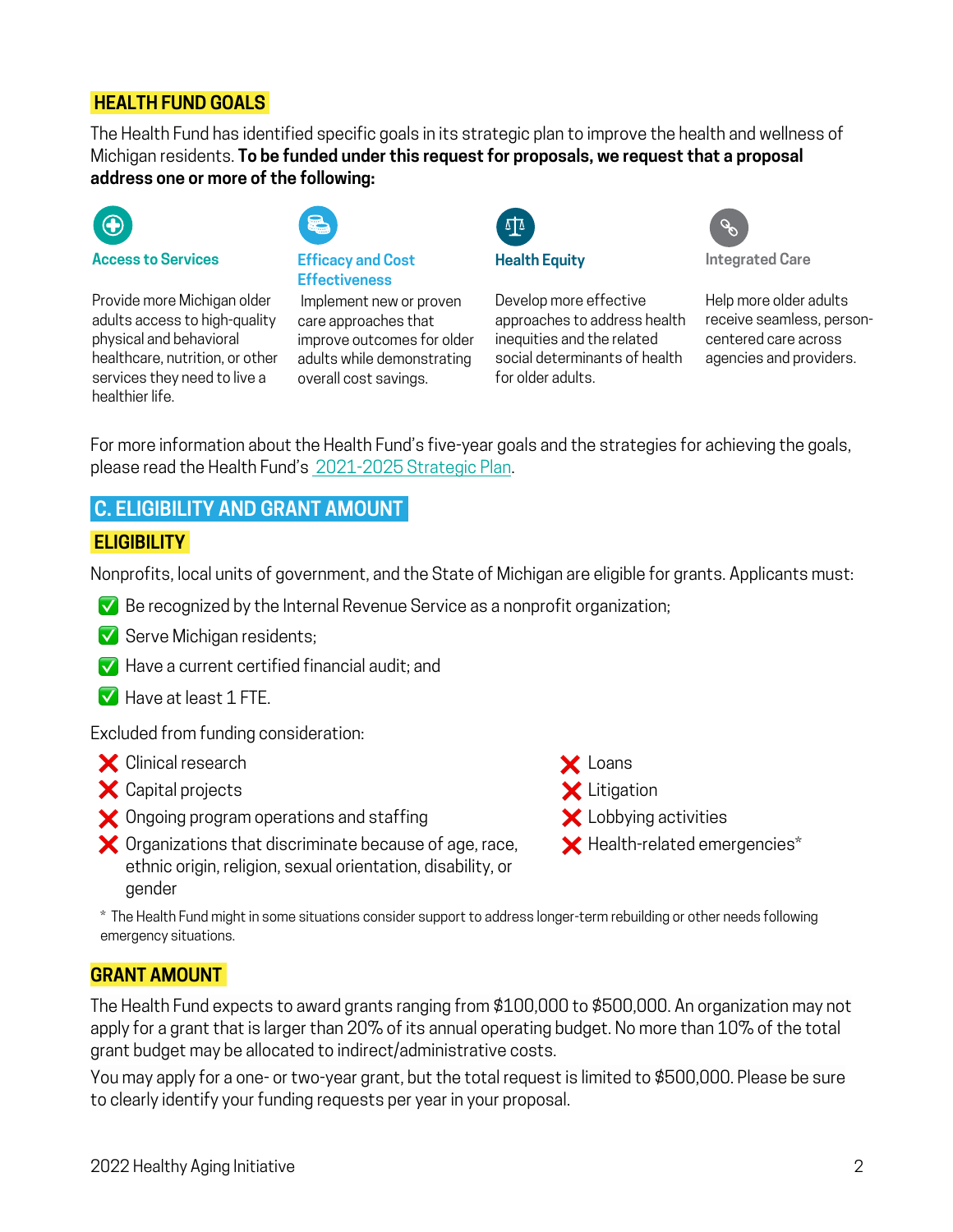#### **HEALTH FUND GOALS.**

The Health Fund has identified specific goals in its strategic plan to improve the health and wellness of Michigan residents. **To be funded under this request for proposals, we request that a proposal address one or more of the following:**



**Access to Services**

Provide more Michigan older adults access to high-quality physical and behavioral healthcare, nutrition, or other services they need to live a healthier life.



#### **Efficacy and Cost Effectiveness**

Implement new or proven care approaches that improve outcomes for older adults while demonstrating overall cost savings.



**Health Equity**

Develop more effective approaches to address health inequities and the related social determinants of health for older adults.



**Integrated Care**

Help more older adults receive seamless, personcentered care across agencies and providers.

For more information about the Health Fund's five-year goals and the strategies for achieving the goals, please read the Health Fund's [2021-2025 Strategic Plan](https://31cbkj3lpblu3805jm2hczg6-wpengine.netdna-ssl.com/wp-content/uploads/2021/05/HealthFund_2021StrategicPlan.pdf).

## **C. ELIGIBILITY AND GRANT AMOUNT.**

#### **ELIGIBILITY.**

Nonprofits, local units of government, and the State of Michigan are eligible for grants. Applicants must:

- Be recognized by the Internal Revenue Service as a nonprofit organization; ✅
- Serve Michigan residents; ✅
- $\blacktriangleright$  Have a current certified financial audit; and
- Have at least 1 FTE. ✅

Excluded from funding consideration:

- Clinical research ❌
- Capital projects ❌
- $\blacktriangleright$  Ongoing program operations and staffing
- $\blacktriangleright$  Organizations that discriminate because of age, race, ethnic origin, religion, sexual orientation, disability, or gender
- Loans ❌ Litigation ❌
- $\blacktriangleright$  Lobbying activities
- $\bigtimes$  Health-related emergencies $^*$

\* The Health Fund might in some situations consider support to address longer-term rebuilding or other needs following emergency situations.

#### **GRANT AMOUNT.**

The Health Fund expects to award grants ranging from \$100,000 to \$500,000. An organization may not apply for a grant that is larger than 20% of its annual operating budget. No more than 10% of the total grant budget may be allocated to indirect/administrative costs.

You may apply for a one- or two-year grant, but the total request is limited to \$500,000. Please be sure to clearly identify your funding requests per year in your proposal.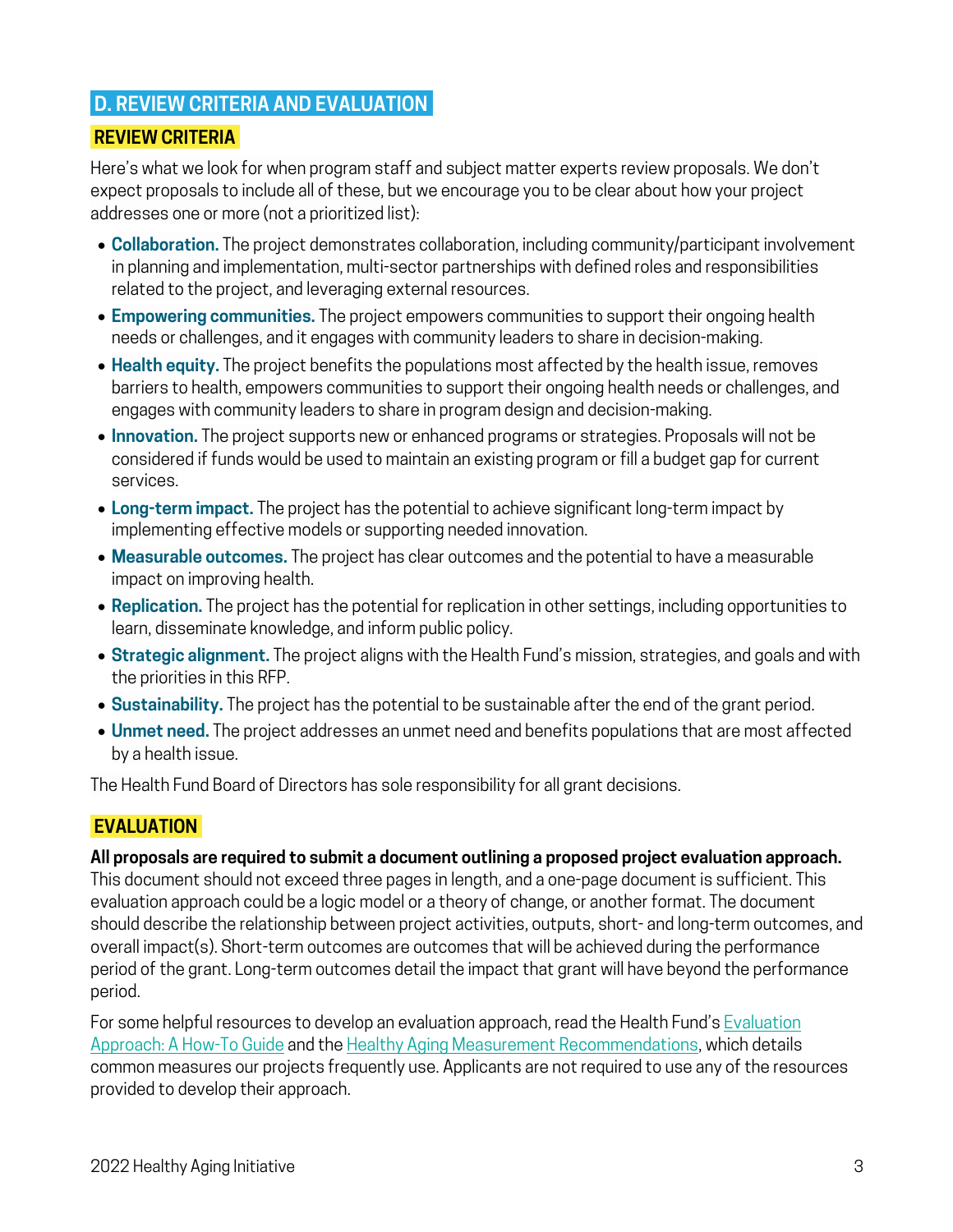## **D. REVIEW CRITERIA AND EVALUATION.**

#### **REVIEW CRITERIA.**

Here's what we look for when program staff and subject matter experts review proposals. We don't expect proposals to include all of these, but we encourage you to be clear about how your project addresses one or more (not a prioritized list):

- **Collaboration.** The project demonstrates collaboration, including community/participant involvement in planning and implementation, multi-sector partnerships with defined roles and responsibilities related to the project, and leveraging external resources.
- **Empowering communities.** The project empowers communities to support their ongoing health needs or challenges, and it engages with community leaders to share in decision-making.
- **Health equity.** The project benefits the populations most affected by the health issue, removes barriers to health, empowers communities to support their ongoing health needs or challenges, and engages with community leaders to share in program design and decision-making.
- **Innovation.** The project supports new or enhanced programs or strategies. Proposals will not be considered if funds would be used to maintain an existing program or fill a budget gap for current services.
- **Long-term impact.** The project has the potential to achieve significant long-term impact by implementing effective models or supporting needed innovation.
- **Measurable outcomes.** The project has clear outcomes and the potential to have a measurable impact on improving health.
- **Replication.** The project has the potential for replication in other settings, including opportunities to learn, disseminate knowledge, and inform public policy.
- **Strategic alignment.** The project aligns with the Health Fund's mission, strategies, and goals and with the priorities in this RFP.
- **Sustainability.** The project has the potential to be sustainable after the end of the grant period.
- **Unmet need.** The project addresses an unmet need and benefits populations that are most affected by a health issue.

The Health Fund Board of Directors has sole responsibility for all grant decisions.

## **EVALUATION.**

#### **All proposals are required to submit a document outlining a proposed project evaluation approach.**

This document should not exceed three pages in length, and a one-page document is sufficient. This evaluation approach could be a logic model or a theory of change, or another format. The document should describe the relationship between project activities, outputs, short- and long-term outcomes, and overall impact(s). Short-term outcomes are outcomes that will be achieved during the performance period of the grant. Long-term outcomes detail the impact that grant will have beyond the performance period.

For some helpful resources to develop an evaluation approach, read the Health Fund's [Evaluation](https://mihealthfund.org/wp-content/uploads/2020/02/HealthFund_EvalApproach_202002.pdf#:~:text=Evaluation%20is%20a%20priority%20across%20the%20Health%20Fund%E2%80%99s,and%20the%20overall%20impact%28s%29%20they%E2%80%99re%20aiming%20to%20achieve.) [Approach: A How-To Guide](https://mihealthfund.org/wp-content/uploads/2020/02/HealthFund_EvalApproach_202002.pdf#:~:text=Evaluation%20is%20a%20priority%20across%20the%20Health%20Fund%E2%80%99s,and%20the%20overall%20impact%28s%29%20they%E2%80%99re%20aiming%20to%20achieve.) and the [Healthy Aging Measurement Recommendations](https://mihealthfund.org/wp-content/uploads/2022/06/HealthFund_HealthyAgingMeasurement.pdf), which details common measures our projects frequently use. Applicants are not required to use any of the resources provided to develop their approach.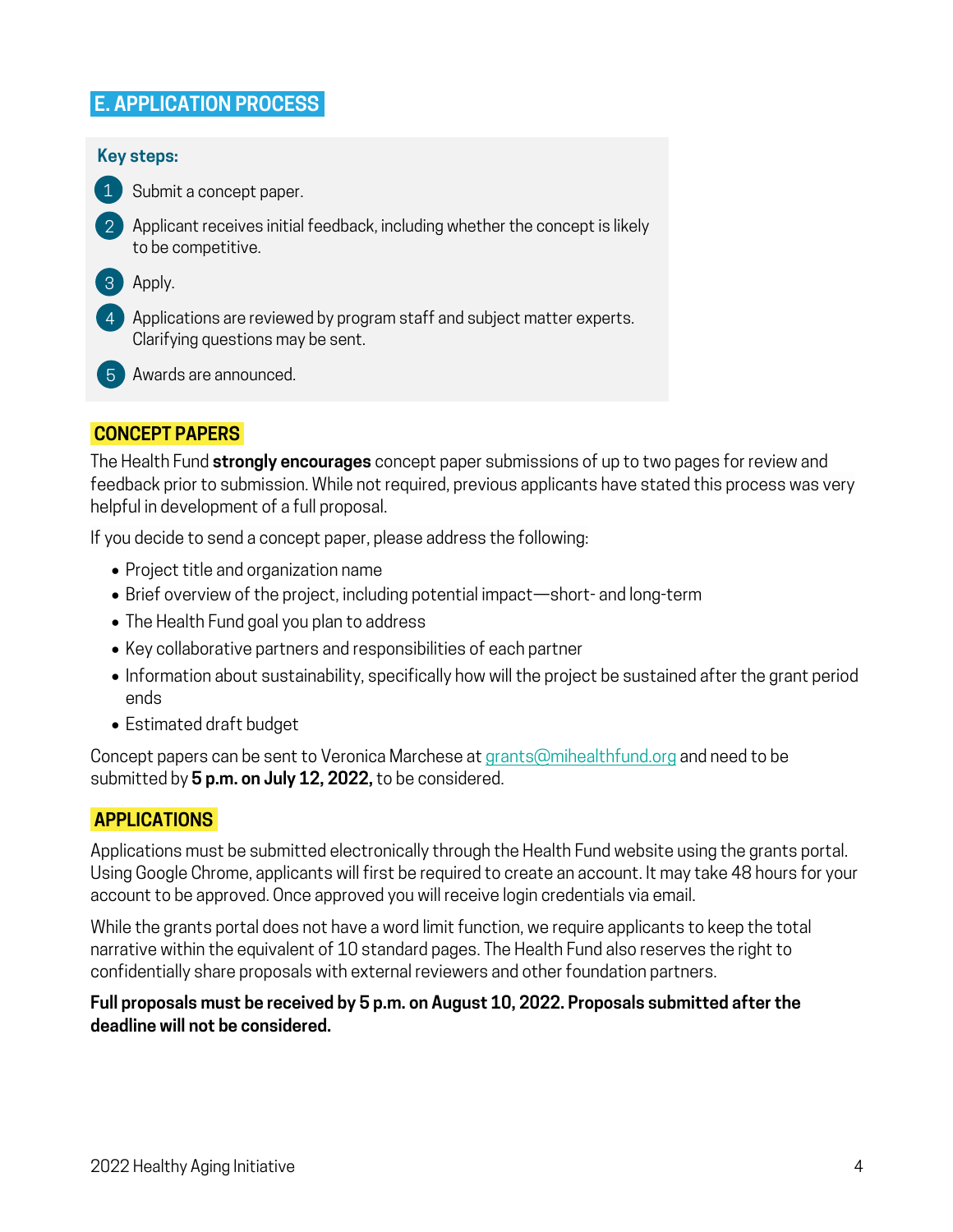## **E. APPLICATION PROCESS.**

#### **Key steps:**

Submit a concept paper. 1

- 2 Applicant receives initial feedback, including whether the concept is likely to be competitive.
- 3 Apply.
- Applications are reviewed by program staff and subject matter experts. 4 Clarifying questions may be sent.
- Awards are announced. 5

#### **CONCEPT PAPERS.**

The Health Fund **strongly encourages** concept paper submissions of up to two pages for review and feedback prior to submission. While not required, previous applicants have stated this process was very helpful in development of a full proposal.

If you decide to send a concept paper, please address the following:

- Project title and organization name
- Brief overview of the project, including potential impact—short- and long-term
- The Health Fund goal you plan to address
- Key collaborative partners and responsibilities of each partner
- Information about sustainability, specifically how will the project be sustained after the grant period ends
- Estimated draft budget

Concept papers can be sent to Veronica Marchese at [grants@mihealthfund.org](mailto:grants@mihealthfund.org) and need to be submitted by **5 p.m. on July 12, 2022,** to be considered.

#### **APPLICATIONS.**

Applications must be submitted electronically through the Health Fund website using the grants portal. Using Google Chrome, applicants will first be required to create an account. It may take 48 hours for your account to be approved. Once approved you will receive login credentials via email.

While the grants portal does not have a word limit function, we require applicants to keep the total narrative within the equivalent of 10 standard pages. The Health Fund also reserves the right to confidentially share proposals with external reviewers and other foundation partners.

#### **Full proposals must be received by 5 p.m. on August 10, 2022. Proposals submitted after the deadline will not be considered.**